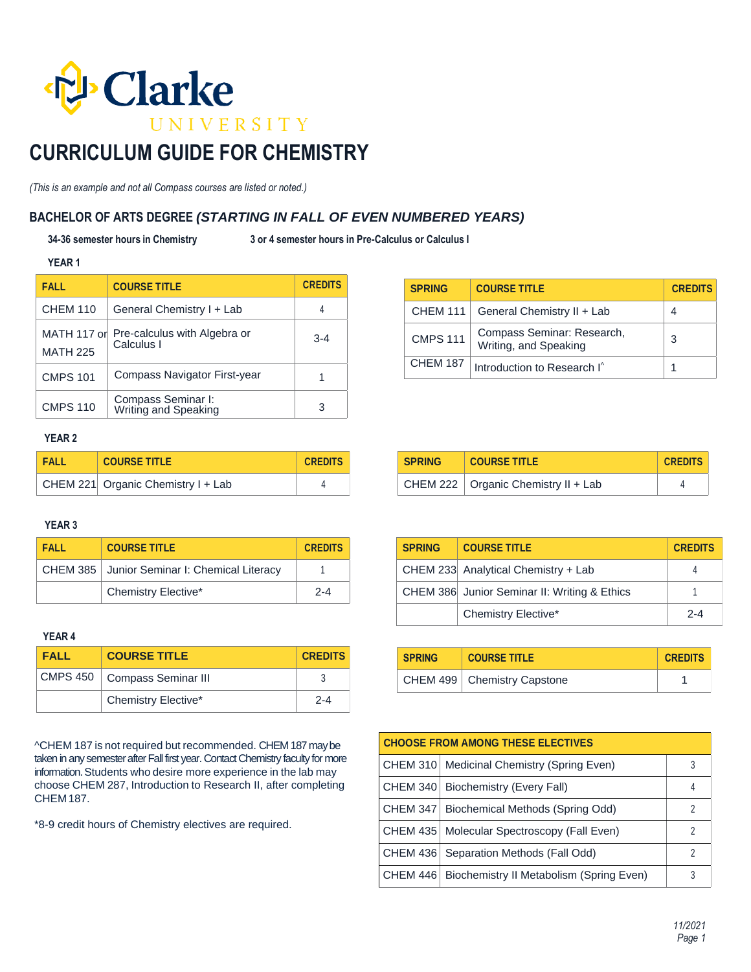

# **CURRICULUM GUIDE FOR CHEMISTRY**

*(This is an example and not all Compass courses are listed or noted.)*

### **BACHELOR OF ARTS DEGREE** *(STARTING IN FALL OF EVEN NUMBERED YEARS)*

**34-36 semester hours in Chemistry 3 or 4 semester hours in Pre-Calculus or Calculus I** 

#### **YEAR 1**

| <b>FALL</b>                    | <b>COURSE TITLE</b>                        | <b>CREDITS</b> |
|--------------------------------|--------------------------------------------|----------------|
| <b>CHEM 110</b>                | General Chemistry I + Lab                  | 4              |
| MATH 117 or<br><b>MATH 225</b> | Pre-calculus with Algebra or<br>Calculus I | $3 - 4$        |
| <b>CMPS 101</b>                | Compass Navigator First-year               |                |
| <b>CMPS 110</b>                | Compass Seminar I:<br>Writing and Speaking | 3              |

## **SPRING COURSE TITLE CREDITS** CHEM 111 General Chemistry II + Lab  $\vert 4 \vert$ CMPS 111 Compass Seminar: Research, Compass Seminar, Research, 23<br>Writing, and Speaking CHEM 187 Introduction to Research I^

### **YEAR 2**

| <b>FALL</b> | <b>COURSE TITLE</b>                | <b>CREDITS</b> |
|-------------|------------------------------------|----------------|
|             | CHEM 221 Organic Chemistry I + Lab |                |

### **YEAR 3**

| <b>FALL</b> | <b>COURSE TITLE</b>                            | <b>CREDITS</b> |
|-------------|------------------------------------------------|----------------|
|             | CHEM 385   Junior Seminar I: Chemical Literacy |                |
|             | <b>Chemistry Elective*</b>                     | $2 - 4$        |

### **YEAR 4**

| <b>FALL</b> | <b>COURSE TITLE</b>            | <b>CREDITS</b> |
|-------------|--------------------------------|----------------|
|             | CMPS 450   Compass Seminar III |                |
|             | <b>Chemistry Elective*</b>     | $2 - 4$        |

^CHEM 187 is not required but recommended. CHEM 187 may be taken in any semester after Fall first year. Contact Chemistry faculty for more information. Students who desire more experience in the lab may choose CHEM 287, Introduction to Research II, after completing CHEM 187.

\*8-9 credit hours of Chemistry electives are required.

| <b>SPRING</b> | <b>COURSE TITLE</b>                          | <b>CREDITS</b> |
|---------------|----------------------------------------------|----------------|
|               | CHEM 233 Analytical Chemistry + Lab          |                |
|               | CHEM 386 Junior Seminar II: Writing & Ethics |                |
|               | Chemistry Elective*                          | $2 - 4$        |

**SPRING COURSE TITLE CREDITS**

CHEM 222  $\vert$  Organic Chemistry II + Lab  $\vert$  4

| <b>SPRING</b> | <b>COURSE TITLE</b>           | <b>CREDITS</b> |
|---------------|-------------------------------|----------------|
|               | CHEM 499   Chemistry Capstone |                |

| <b>CHOOSE FROM AMONG THESE ELECTIVES</b> |                                                     |   |
|------------------------------------------|-----------------------------------------------------|---|
|                                          | CHEM 310   Medicinal Chemistry (Spring Even)        | 3 |
|                                          | CHEM 340   Biochemistry (Every Fall)                |   |
|                                          | CHEM 347   Biochemical Methods (Spring Odd)         | 2 |
|                                          | CHEM 435   Molecular Spectroscopy (Fall Even)       | 2 |
|                                          | CHEM 436   Separation Methods (Fall Odd)            | 2 |
|                                          | CHEM 446   Biochemistry II Metabolism (Spring Even) | 3 |